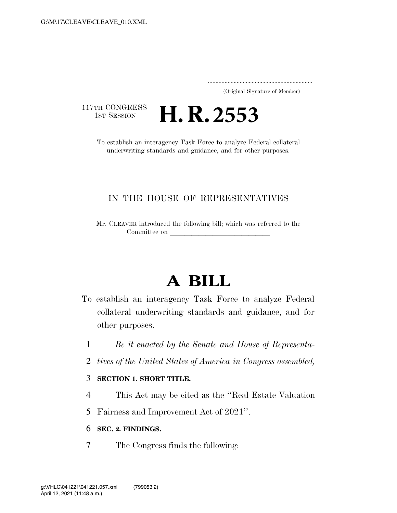..................................................................... (Original Signature of Member)

117TH CONGRESS<br>1st Session

To establish an interagency Task Force to analyze Federal collateral underwriting standards and guidance, and for other purposes.

**H. R.** 2553

## IN THE HOUSE OF REPRESENTATIVES

Mr. CLEAVER introduced the following bill; which was referred to the Committee on

## **A BILL**

- To establish an interagency Task Force to analyze Federal collateral underwriting standards and guidance, and for other purposes.
	- 1 *Be it enacted by the Senate and House of Representa-*
	- 2 *tives of the United States of America in Congress assembled,*

## 3 **SECTION 1. SHORT TITLE.**

- 4 This Act may be cited as the ''Real Estate Valuation
- 5 Fairness and Improvement Act of 2021''.

## 6 **SEC. 2. FINDINGS.**

7 The Congress finds the following: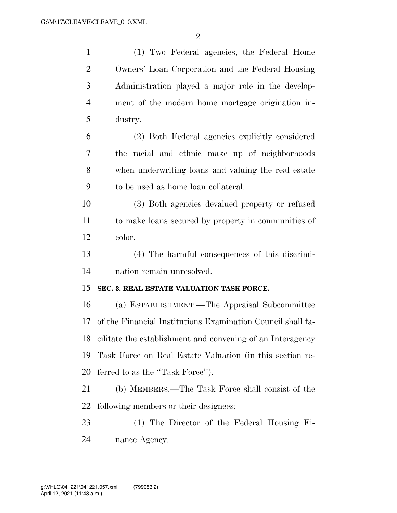| $\mathbf{1}$   | (1) Two Federal agencies, the Federal Home                    |
|----------------|---------------------------------------------------------------|
| $\overline{2}$ | Owners' Loan Corporation and the Federal Housing              |
| 3              | Administration played a major role in the develop-            |
| $\overline{4}$ | ment of the modern home mortgage origination in-              |
| 5              | dustry.                                                       |
| 6              | (2) Both Federal agencies explicitly considered               |
| 7              | the racial and ethnic make up of neighborhoods                |
| 8              | when underwriting loans and valuing the real estate           |
| 9              | to be used as home loan collateral.                           |
| 10             | (3) Both agencies devalued property or refused                |
| 11             | to make loans secured by property in communities of           |
| 12             | color.                                                        |
| 13             | (4) The harmful consequences of this discrimi-                |
| 14             | nation remain unresolved.                                     |
| 15             | SEC. 3. REAL ESTATE VALUATION TASK FORCE.                     |
| 16             | (a) ESTABLISHMENT.—The Appraisal Subcommittee                 |
| 17             | of the Financial Institutions Examination Council shall fa-   |
|                | 18 cilitate the establishment and convening of an Interagency |
| 19             | Task Force on Real Estate Valuation (in this section re-      |
| 20             | ferred to as the "Task Force").                               |
| 21             | (b) MEMBERS.—The Task Force shall consist of the              |
| 22             | following members or their designees:                         |
| 23             | (1) The Director of the Federal Housing Fi-                   |
| 24             | nance Agency.                                                 |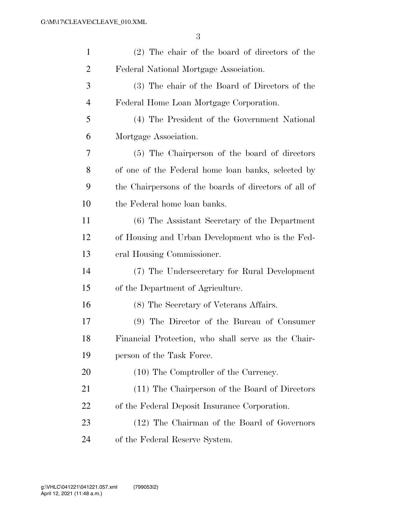| $\mathbf{1}$   | (2) The chair of the board of directors of the        |
|----------------|-------------------------------------------------------|
| $\overline{2}$ | Federal National Mortgage Association.                |
| 3              | (3) The chair of the Board of Directors of the        |
| $\overline{4}$ | Federal Home Loan Mortgage Corporation.               |
| 5              | (4) The President of the Government National          |
| 6              | Mortgage Association.                                 |
| 7              | (5) The Chairperson of the board of directors         |
| 8              | of one of the Federal home loan banks, selected by    |
| 9              | the Chairpersons of the boards of directors of all of |
| 10             | the Federal home loan banks.                          |
| 11             | (6) The Assistant Secretary of the Department         |
| 12             | of Housing and Urban Development who is the Fed-      |
| 13             | eral Housing Commissioner.                            |
| 14             | (7) The Undersecretary for Rural Development          |
| 15             | of the Department of Agriculture.                     |
| 16             | (8) The Secretary of Veterans Affairs.                |
| 17             | (9) The Director of the Bureau of Consumer            |
| 18             | Financial Protection, who shall serve as the Chair-   |
| 19             | person of the Task Force.                             |
| 20             | (10) The Comptroller of the Currency.                 |
| 21             | (11) The Chairperson of the Board of Directors        |
| 22             | of the Federal Deposit Insurance Corporation.         |
| 23             | (12) The Chairman of the Board of Governors           |
| 24             | of the Federal Reserve System.                        |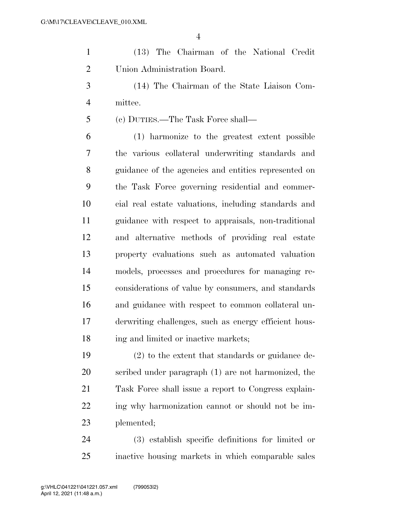(13) The Chairman of the National Credit Union Administration Board.

 (14) The Chairman of the State Liaison Com-mittee.

(c) DUTIES.—The Task Force shall—

 (1) harmonize to the greatest extent possible the various collateral underwriting standards and guidance of the agencies and entities represented on the Task Force governing residential and commer- cial real estate valuations, including standards and guidance with respect to appraisals, non-traditional and alternative methods of providing real estate property evaluations such as automated valuation models, processes and procedures for managing re- considerations of value by consumers, and standards and guidance with respect to common collateral un- derwriting challenges, such as energy efficient hous-18 ing and limited or inactive markets;

 (2) to the extent that standards or guidance de- scribed under paragraph (1) are not harmonized, the Task Force shall issue a report to Congress explain-22 ing why harmonization cannot or should not be im-plemented;

 (3) establish specific definitions for limited or inactive housing markets in which comparable sales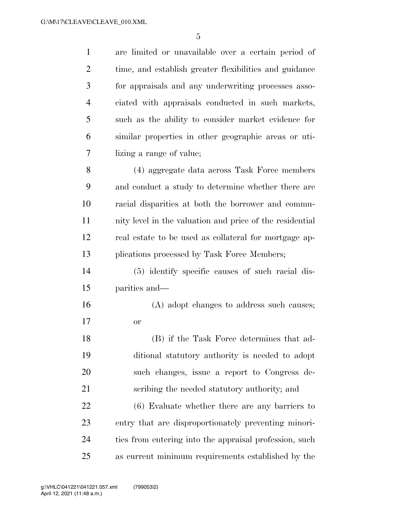are limited or unavailable over a certain period of time, and establish greater flexibilities and guidance for appraisals and any underwriting processes asso- ciated with appraisals conducted in such markets, such as the ability to consider market evidence for similar properties in other geographic areas or uti- lizing a range of value; (4) aggregate data across Task Force members and conduct a study to determine whether there are racial disparities at both the borrower and commu- nity level in the valuation and price of the residential real estate to be used as collateral for mortgage ap-13 plications processed by Task Force Members; (5) identify specific causes of such racial dis- parities and— (A) adopt changes to address such causes; or (B) if the Task Force determines that ad- ditional statutory authority is needed to adopt such changes, issue a report to Congress de- scribing the needed statutory authority; and (6) Evaluate whether there are any barriers to entry that are disproportionately preventing minori- ties from entering into the appraisal profession, such as current minimum requirements established by the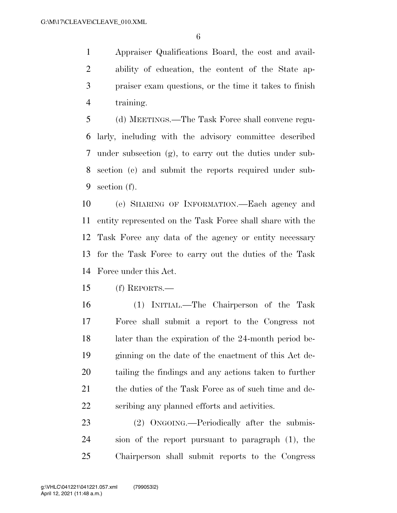Appraiser Qualifications Board, the cost and avail- ability of education, the content of the State ap- praiser exam questions, or the time it takes to finish training.

 (d) MEETINGS.—The Task Force shall convene regu- larly, including with the advisory committee described under subsection (g), to carry out the duties under sub- section (c) and submit the reports required under sub-section (f).

 (e) SHARING OF INFORMATION.—Each agency and entity represented on the Task Force shall share with the Task Force any data of the agency or entity necessary for the Task Force to carry out the duties of the Task Force under this Act.

(f) REPORTS.—

 (1) INITIAL.—The Chairperson of the Task Force shall submit a report to the Congress not later than the expiration of the 24-month period be- ginning on the date of the enactment of this Act de- tailing the findings and any actions taken to further 21 the duties of the Task Force as of such time and de-scribing any planned efforts and activities.

23 (2) ONGOING.—Periodically after the submis- sion of the report pursuant to paragraph (1), the Chairperson shall submit reports to the Congress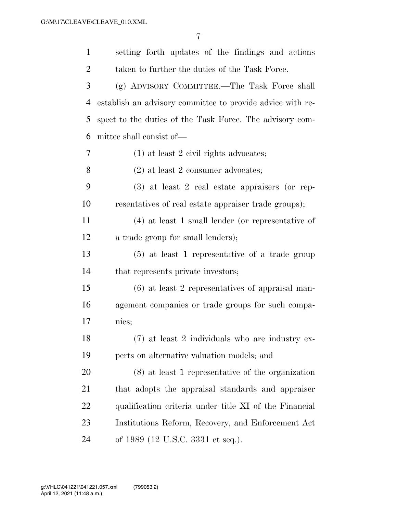| $\mathbf{1}$ | setting forth updates of the findings and actions          |
|--------------|------------------------------------------------------------|
| 2            | taken to further the duties of the Task Force.             |
| 3            | (g) ADVISORY COMMITTEE.-The Task Force shall               |
| 4            | establish an advisory committee to provide advice with re- |
| 5            | spect to the duties of the Task Force. The advisory com-   |
| 6            | mittee shall consist of—                                   |
| 7            | $(1)$ at least 2 civil rights advocates;                   |
| 8            | $(2)$ at least 2 consumer advocates;                       |
| 9            | $(3)$ at least 2 real estate appraisers (or rep-           |
| 10           | resentatives of real estate appraiser trade groups);       |
| 11           | $(4)$ at least 1 small lender (or representative of        |
| 12           | a trade group for small lenders);                          |
| 13           | $(5)$ at least 1 representative of a trade group           |
| 14           | that represents private investors;                         |
| 15           | $(6)$ at least 2 representatives of appraisal man-         |
| 16           | agement companies or trade groups for such compa-          |
| 17           | nies;                                                      |
| 18           | (7) at least 2 individuals who are industry ex-            |
| 19           | perts on alternative valuation models; and                 |
| 20           | $(8)$ at least 1 representative of the organization        |
| 21           | that adopts the appraisal standards and appraiser          |
| 22           | qualification criteria under title XI of the Financial     |
| 23           | Institutions Reform, Recovery, and Enforcement Act         |
| 24           | of 1989 (12 U.S.C. 3331 et seq.).                          |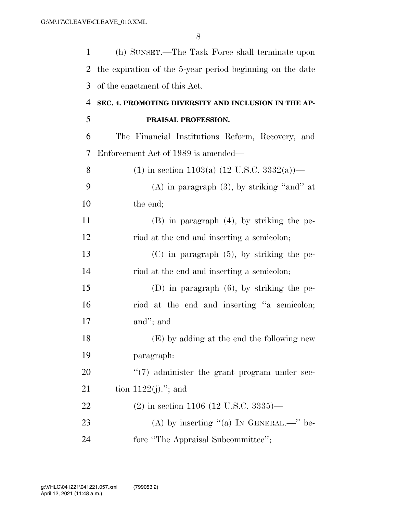| 1              | (h) SUNSET.—The Task Force shall terminate upon           |
|----------------|-----------------------------------------------------------|
| 2              | the expiration of the 5-year period beginning on the date |
| 3              | of the enactment of this Act.                             |
| $\overline{4}$ | SEC. 4. PROMOTING DIVERSITY AND INCLUSION IN THE AP-      |
| 5              | PRAISAL PROFESSION.                                       |
| 6              | The Financial Institutions Reform, Recovery, and          |
| 7              | Enforcement Act of 1989 is amended—                       |
| 8              | (1) in section 1103(a) $(12 \text{ U.S.C. } 3332(a))$ —   |
| 9              | $(A)$ in paragraph $(3)$ , by striking "and" at           |
| 10             | the end;                                                  |
| 11             | $(B)$ in paragraph $(4)$ , by striking the pe-            |
| 12             | riod at the end and inserting a semicolon;                |
| 13             | $(C)$ in paragraph $(5)$ , by striking the pe-            |
| 14             | riod at the end and inserting a semicolon;                |
| 15             | $(D)$ in paragraph $(6)$ , by striking the pe-            |
| 16             | riod at the end and inserting "a semicolon;               |
| 17             | and"; and                                                 |
| 18             | (E) by adding at the end the following new                |
| 19             | paragraph:                                                |
| 20             | $\lq(7)$ administer the grant program under sec-          |
| 21             | tion $1122(j)$ ."; and                                    |
| 22             | $(2)$ in section 1106 (12 U.S.C. 3335)—                   |
| 23             | (A) by inserting "(a) IN GENERAL.—" be-                   |
| 24             | fore "The Appraisal Subcommittee";                        |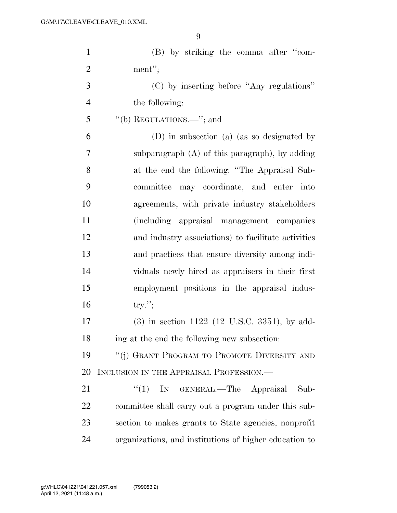| $\mathbf{1}$   | (B) by striking the comma after "com-                  |
|----------------|--------------------------------------------------------|
| $\overline{2}$ | ment";                                                 |
| 3              | (C) by inserting before "Any regulations"              |
| $\overline{4}$ | the following:                                         |
| 5              | "(b) REGULATIONS.—"; and                               |
| 6              | (D) in subsection (a) (as so designated by             |
| 7              | subparagraph $(A)$ of this paragraph), by adding       |
| 8              | at the end the following: "The Appraisal Sub-          |
| 9              | committee<br>may coordinate, and enter into            |
| 10             | agreements, with private industry stakeholders         |
| 11             | (including appraisal management companies              |
| 12             | and industry associations) to facilitate activities    |
| 13             | and practices that ensure diversity among indi-        |
| 14             | viduals newly hired as appraisers in their first       |
| 15             | employment positions in the appraisal indus-           |
| 16             | $try.'$ ;                                              |
| 17             | $(3)$ in section 1122 (12 U.S.C. 3351), by add-        |
| 18             | ing at the end the following new subsection:           |
| 19             | "(j) GRANT PROGRAM TO PROMOTE DIVERSITY AND            |
| 20             | INCLUSION IN THE APPRAISAL PROFESSION.                 |
| 21             | " $(1)$ IN GENERAL.—The Appraisal<br>Sub-              |
| 22             | committee shall carry out a program under this sub-    |
| 23             | section to makes grants to State agencies, nonprofit   |
| 24             | organizations, and institutions of higher education to |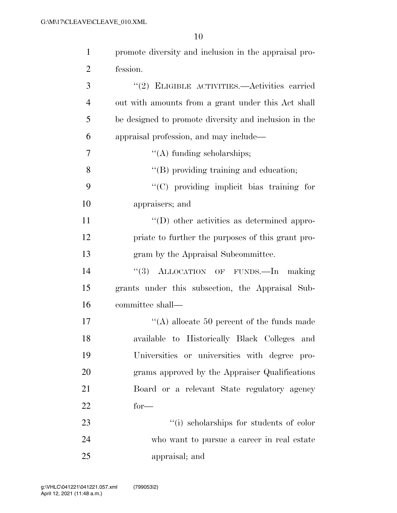| $\mathbf{1}$   | promote diversity and inclusion in the appraisal pro- |
|----------------|-------------------------------------------------------|
| $\overline{2}$ | fession.                                              |
| 3              | "(2) ELIGIBLE ACTIVITIES.—Activities carried          |
| $\overline{4}$ | out with amounts from a grant under this Act shall    |
| 5              | be designed to promote diversity and inclusion in the |
| 6              | appraisal profession, and may include—                |
| 7              | $\lq\lq$ funding scholarships;                        |
| 8              | "(B) providing training and education;                |
| 9              | "(C) providing implicit bias training for             |
| 10             | appraisers; and                                       |
| 11             | $\lq\lq$ other activities as determined appro-        |
| 12             | priate to further the purposes of this grant pro-     |
| 13             | gram by the Appraisal Subcommittee.                   |
| 14             | "(3) ALLOCATION OF FUNDS.—In making                   |
| 15             | grants under this subsection, the Appraisal Sub-      |
| 16             | committee shall—                                      |
| 17             | "(A) allocate 50 percent of the funds made            |
| 18             | available to Historically Black Colleges and          |
| 19             | Universities or universities with degree pro-         |
| 20             | grams approved by the Appraiser Qualifications        |
| 21             | Board or a relevant State regulatory agency           |
| 22             | $for-$                                                |
| 23             | "(i) scholarships for students of color               |
| 24             | who want to pursue a career in real estate            |
| 25             | appraisal; and                                        |